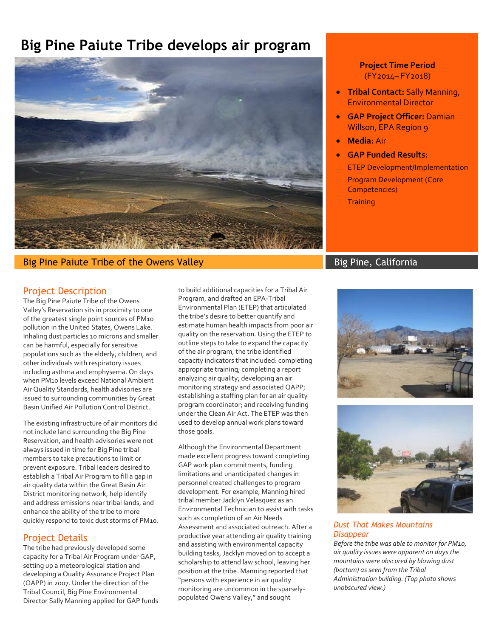# **Big Pine Paiute Tribe develops air program**



# Big Pine Paiute Tribe of the Owens Valley Big Pine Big Pine, California

## Project Description

The Big Pine Paiute Tribe of the Owens Valley's Reservation sits in proximity to one of the greatest single point sources of PM10 pollution in the United States, Owens Lake. Inhaling dust particles 10 microns and smaller can be harmful, especially for sensitive populations such as the elderly, children, and other individuals with respiratory issues including asthma and emphysema. On days when PM10 levels exceed National Ambient Air Quality Standards, health advisories are issued to surrounding communities by Great Basin Unified Air Pollution Control District.

The existing infrastructure of air monitors did not include land surrounding the Big Pine Reservation, and health advisories were not always issued in time for Big Pine tribal members to take precautions to limit or prevent exposure. Tribal leaders desired to establish a Tribal Air Program to fill a gap in air quality data within the Great Basin Air District monitoring network, help identify and address emissions near tribal lands, and enhance the ability of the tribe to more quickly respond to toxic dust storms of PM10.

## Project Details

The tribe had previously developed some capacity for a Tribal Air Program under GAP, setting up a meteorological station and developing a Quality Assurance Project Plan (QAPP) in 2007. Under the direction of the Tribal Council, Big Pine Environmental Director Sally Manning applied for GAP funds to build additional capacities for a Tribal Air Program, and drafted an EPA-Tribal Environmental Plan (ETEP) that articulated the tribe's desire to better quantify and estimate human health impacts from poor air quality on the reservation. Using the ETEP to outline steps to take to expand the capacity of the air program, the tribe identified capacity indicators that included: completing appropriate training; completing a report analyzing air quality; developing an air monitoring strategy and associated QAPP; establishing a staffing plan for an air quality program coordinator; and receiving funding under the Clean Air Act. The ETEP was then used to develop annual work plans toward those goals.

Although the Environmental Department made excellent progress toward completing GAP work plan commitments, funding limitations and unanticipated changes in personnel created challenges to program development. For example, Manning hired tribal member Jacklyn Velasquez as an Environmental Technician to assist with tasks such as completion of an Air Needs Assessment and associated outreach. After a productive year attending air quality training and assisting with environmental capacity building tasks, Jacklyn moved on to accept a scholarship to attend law school, leaving her position at the tribe. Manning reported that "persons with experience in air quality monitoring are uncommon in the sparselypopulated Owens Valley," and sought

**Project Time Period**  (FY2014– FY2018)

- **Tribal Contact:** Sally Manning, Environmental Director
- **GAP Project Officer:** Damian Willson, EPA Region 9
- **Media:** Air
	- **GAP Funded Results:** ETEP Development/Implementation Program Development (Core Competencies) **Training**





### *Dust That Makes Mountains Disappear*

*Before the tribe was able to monitor for PM10, air quality issues were apparent on days the mountains were obscured by blowing dust (bottom) as seen from the Tribal Administration building. (Top photo shows unobscured view.)*